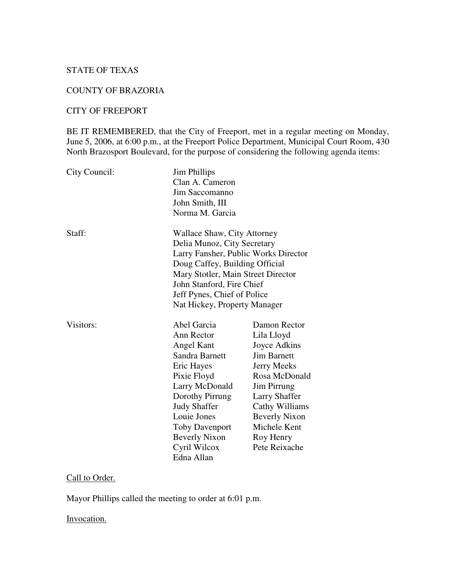## STATE OF TEXAS

#### COUNTY OF BRAZORIA

### CITY OF FREEPORT

BE IT REMEMBERED, that the City of Freeport, met in a regular meeting on Monday, June 5, 2006, at 6:00 p.m., at the Freeport Police Department, Municipal Court Room, 430 North Brazosport Boulevard, for the purpose of considering the following agenda items:

| City Council: | <b>Jim Phillips</b><br>Clan A. Cameron<br>Jim Saccomanno<br>John Smith, III<br>Norma M. Garcia                                                                                                                                                                         |                                                                                                                                                                                                                                        |
|---------------|------------------------------------------------------------------------------------------------------------------------------------------------------------------------------------------------------------------------------------------------------------------------|----------------------------------------------------------------------------------------------------------------------------------------------------------------------------------------------------------------------------------------|
| Staff:        | Wallace Shaw, City Attorney<br>Delia Munoz, City Secretary<br>Larry Fansher, Public Works Director<br>Doug Caffey, Building Official<br>Mary Stotler, Main Street Director<br>John Stanford, Fire Chief<br>Jeff Pynes, Chief of Police<br>Nat Hickey, Property Manager |                                                                                                                                                                                                                                        |
| Visitors:     | Abel Garcia<br>Ann Rector<br>Angel Kant<br>Sandra Barnett<br>Eric Hayes<br>Pixie Floyd<br>Larry McDonald<br>Dorothy Pirrung<br><b>Judy Shaffer</b><br>Louie Jones<br>Toby Davenport<br><b>Beverly Nixon</b><br>Cyril Wilcox<br>Edna Allan                              | Damon Rector<br>Lila Lloyd<br>Joyce Adkins<br><b>Jim Barnett</b><br><b>Jerry Meeks</b><br>Rosa McDonald<br><b>Jim Pirrung</b><br>Larry Shaffer<br>Cathy Williams<br><b>Beverly Nixon</b><br>Michele Kent<br>Roy Henry<br>Pete Reixache |

#### Call to Order.

Mayor Phillips called the meeting to order at 6:01 p.m.

### Invocation.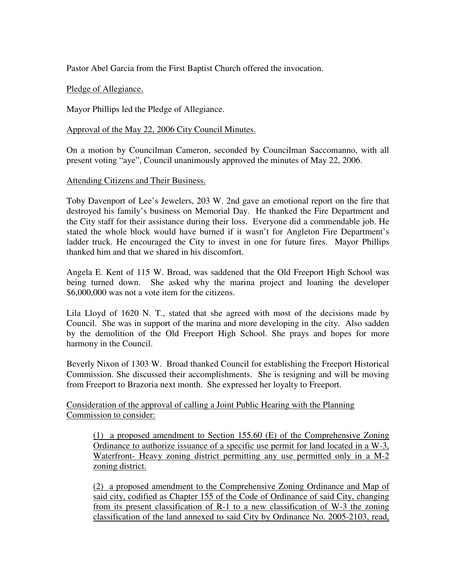Pastor Abel Garcia from the First Baptist Church offered the invocation.

### Pledge of Allegiance.

Mayor Phillips led the Pledge of Allegiance.

### Approval of the May 22, 2006 City Council Minutes.

On a motion by Councilman Cameron, seconded by Councilman Saccomanno, with all present voting "aye", Council unanimously approved the minutes of May 22, 2006.

### Attending Citizens and Their Business.

Toby Davenport of Lee's Jewelers, 203 W. 2nd gave an emotional report on the fire that destroyed his family's business on Memorial Day. He thanked the Fire Department and the City staff for their assistance during their loss. Everyone did a commendable job. He stated the whole block would have burned if it wasn't for Angleton Fire Department's ladder truck. He encouraged the City to invest in one for future fires. Mayor Phillips thanked him and that we shared in his discomfort.

Angela E. Kent of 115 W. Broad, was saddened that the Old Freeport High School was being turned down. She asked why the marina project and loaning the developer \$6,000,000 was not a vote item for the citizens.

Lila Lloyd of 1620 N. T., stated that she agreed with most of the decisions made by Council. She was in support of the marina and more developing in the city. Also sadden by the demolition of the Old Freeport High School. She prays and hopes for more harmony in the Council.

Beverly Nixon of 1303 W. Broad thanked Council for establishing the Freeport Historical Commission. She discussed their accomplishments. She is resigning and will be moving from Freeport to Brazoria next month. She expressed her loyalty to Freeport.

Consideration of the approval of calling a Joint Public Hearing with the Planning Commission to consider:

(1) a proposed amendment to Section 155.60 (E) of the Comprehensive Zoning Ordinance to authorize issuance of a specific use permit for land located in a W-3, Waterfront- Heavy zoning district permitting any use permitted only in a M-2 zoning district.

(2) a proposed amendment to the Comprehensive Zoning Ordinance and Map of said city, codified as Chapter 155 of the Code of Ordinance of said City, changing from its present classification of R-1 to a new classification of W-3 the zoning classification of the land annexed to said City by Ordinance No. 2005-2103, read,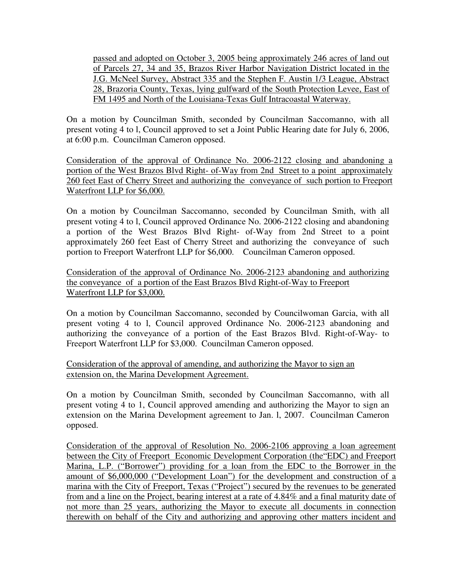passed and adopted on October 3, 2005 being approximately 246 acres of land out of Parcels 27, 34 and 35, Brazos River Harbor Navigation District located in the J.G. McNeel Survey, Abstract 335 and the Stephen F. Austin 1/3 League, Abstract 28, Brazoria County, Texas, lying gulfward of the South Protection Levee, East of FM 1495 and North of the Louisiana-Texas Gulf Intracoastal Waterway.

On a motion by Councilman Smith, seconded by Councilman Saccomanno, with all present voting 4 to l, Council approved to set a Joint Public Hearing date for July 6, 2006, at 6:00 p.m. Councilman Cameron opposed.

Consideration of the approval of Ordinance No. 2006-2122 closing and abandoning a portion of the West Brazos Blvd Right- of-Way from 2nd Street to a point approximately 260 feet East of Cherry Street and authorizing the conveyance of such portion to Freeport Waterfront LLP for \$6,000.

On a motion by Councilman Saccomanno, seconded by Councilman Smith, with all present voting 4 to l, Council approved Ordinance No. 2006-2122 closing and abandoning a portion of the West Brazos Blvd Right- of-Way from 2nd Street to a point approximately 260 feet East of Cherry Street and authorizing the conveyance of such portion to Freeport Waterfront LLP for \$6,000. Councilman Cameron opposed.

Consideration of the approval of Ordinance No. 2006-2123 abandoning and authorizing the conveyance of a portion of the East Brazos Blvd Right-of-Way to Freeport Waterfront LLP for \$3,000.

On a motion by Councilman Saccomanno, seconded by Councilwoman Garcia, with all present voting 4 to l, Council approved Ordinance No. 2006-2123 abandoning and authorizing the conveyance of a portion of the East Brazos Blvd. Right-of-Way- to Freeport Waterfront LLP for \$3,000. Councilman Cameron opposed.

Consideration of the approval of amending, and authorizing the Mayor to sign an extension on, the Marina Development Agreement.

On a motion by Councilman Smith, seconded by Councilman Saccomanno, with all present voting 4 to 1, Council approved amending and authorizing the Mayor to sign an extension on the Marina Development agreement to Jan. l, 2007. Councilman Cameron opposed.

Consideration of the approval of Resolution No. 2006-2106 approving a loan agreement between the City of Freeport Economic Development Corporation (the"EDC) and Freeport Marina, L.P. ("Borrower") providing for a loan from the EDC to the Borrower in the amount of \$6,000,000 ("Development Loan") for the development and construction of a marina with the City of Freeport, Texas ("Project") secured by the revenues to be generated from and a line on the Project, bearing interest at a rate of 4.84% and a final maturity date of not more than 25 years, authorizing the Mayor to execute all documents in connection therewith on behalf of the City and authorizing and approving other matters incident and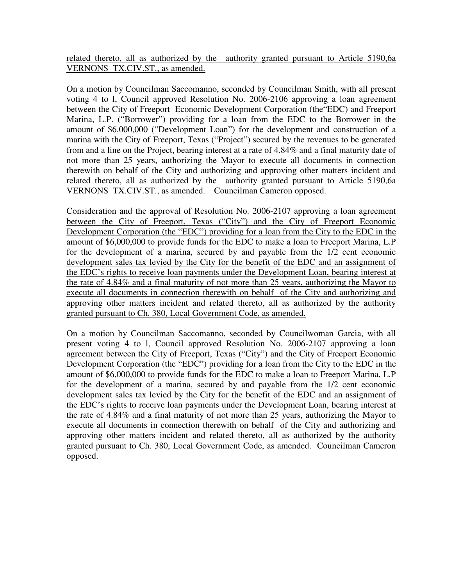related thereto, all as authorized by the authority granted pursuant to Article 5190,6a VERNONS TX.CIV.ST., as amended.

On a motion by Councilman Saccomanno, seconded by Councilman Smith, with all present voting 4 to l, Council approved Resolution No. 2006-2106 approving a loan agreement between the City of Freeport Economic Development Corporation (the"EDC) and Freeport Marina, L.P. ("Borrower") providing for a loan from the EDC to the Borrower in the amount of \$6,000,000 ("Development Loan") for the development and construction of a marina with the City of Freeport, Texas ("Project") secured by the revenues to be generated from and a line on the Project, bearing interest at a rate of 4.84% and a final maturity date of not more than 25 years, authorizing the Mayor to execute all documents in connection therewith on behalf of the City and authorizing and approving other matters incident and related thereto, all as authorized by the authority granted pursuant to Article 5190,6a VERNONS TX.CIV.ST., as amended. Councilman Cameron opposed.

Consideration and the approval of Resolution No. 2006-2107 approving a loan agreement between the City of Freeport, Texas ("City") and the City of Freeport Economic Development Corporation (the "EDC") providing for a loan from the City to the EDC in the amount of \$6,000,000 to provide funds for the EDC to make a loan to Freeport Marina, L.P for the development of a marina, secured by and payable from the 1/2 cent economic development sales tax levied by the City for the benefit of the EDC and an assignment of the EDC's rights to receive loan payments under the Development Loan, bearing interest at the rate of 4.84% and a final maturity of not more than 25 years, authorizing the Mayor to execute all documents in connection therewith on behalf of the City and authorizing and approving other matters incident and related thereto, all as authorized by the authority granted pursuant to Ch. 380, Local Government Code, as amended.

On a motion by Councilman Saccomanno, seconded by Councilwoman Garcia, with all present voting 4 to l, Council approved Resolution No. 2006-2107 approving a loan agreement between the City of Freeport, Texas ("City") and the City of Freeport Economic Development Corporation (the "EDC") providing for a loan from the City to the EDC in the amount of \$6,000,000 to provide funds for the EDC to make a loan to Freeport Marina, L.P for the development of a marina, secured by and payable from the 1/2 cent economic development sales tax levied by the City for the benefit of the EDC and an assignment of the EDC's rights to receive loan payments under the Development Loan, bearing interest at the rate of 4.84% and a final maturity of not more than 25 years, authorizing the Mayor to execute all documents in connection therewith on behalf of the City and authorizing and approving other matters incident and related thereto, all as authorized by the authority granted pursuant to Ch. 380, Local Government Code, as amended. Councilman Cameron opposed.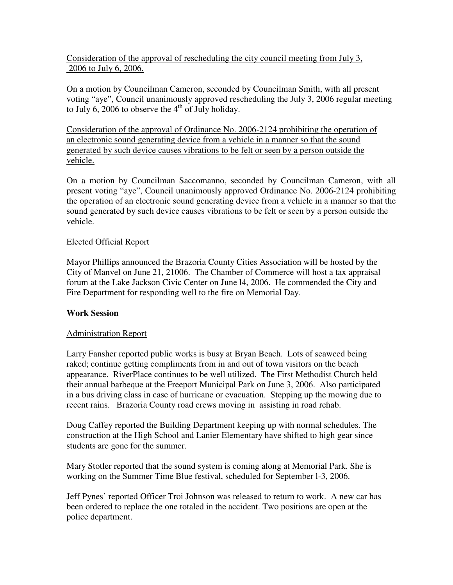Consideration of the approval of rescheduling the city council meeting from July 3, 2006 to July 6, 2006.

On a motion by Councilman Cameron, seconded by Councilman Smith, with all present voting "aye", Council unanimously approved rescheduling the July 3, 2006 regular meeting to July 6, 2006 to observe the  $4<sup>th</sup>$  of July holiday.

Consideration of the approval of Ordinance No. 2006-2124 prohibiting the operation of an electronic sound generating device from a vehicle in a manner so that the sound generated by such device causes vibrations to be felt or seen by a person outside the vehicle.

On a motion by Councilman Saccomanno, seconded by Councilman Cameron, with all present voting "aye", Council unanimously approved Ordinance No. 2006-2124 prohibiting the operation of an electronic sound generating device from a vehicle in a manner so that the sound generated by such device causes vibrations to be felt or seen by a person outside the vehicle.

### Elected Official Report

Mayor Phillips announced the Brazoria County Cities Association will be hosted by the City of Manvel on June 21, 21006. The Chamber of Commerce will host a tax appraisal forum at the Lake Jackson Civic Center on June l4, 2006. He commended the City and Fire Department for responding well to the fire on Memorial Day.

### **Work Session**

# Administration Report

Larry Fansher reported public works is busy at Bryan Beach. Lots of seaweed being raked; continue getting compliments from in and out of town visitors on the beach appearance. RiverPlace continues to be well utilized. The First Methodist Church held their annual barbeque at the Freeport Municipal Park on June 3, 2006. Also participated in a bus driving class in case of hurricane or evacuation. Stepping up the mowing due to recent rains. Brazoria County road crews moving in assisting in road rehab.

Doug Caffey reported the Building Department keeping up with normal schedules. The construction at the High School and Lanier Elementary have shifted to high gear since students are gone for the summer.

Mary Stotler reported that the sound system is coming along at Memorial Park. She is working on the Summer Time Blue festival, scheduled for September l-3, 2006.

Jeff Pynes' reported Officer Troi Johnson was released to return to work. A new car has been ordered to replace the one totaled in the accident. Two positions are open at the police department.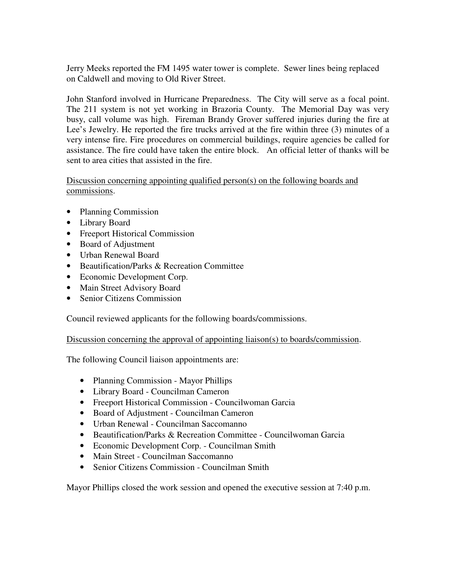Jerry Meeks reported the FM 1495 water tower is complete. Sewer lines being replaced on Caldwell and moving to Old River Street.

John Stanford involved in Hurricane Preparedness. The City will serve as a focal point. The 211 system is not yet working in Brazoria County. The Memorial Day was very busy, call volume was high. Fireman Brandy Grover suffered injuries during the fire at Lee's Jewelry. He reported the fire trucks arrived at the fire within three (3) minutes of a very intense fire. Fire procedures on commercial buildings, require agencies be called for assistance. The fire could have taken the entire block. An official letter of thanks will be sent to area cities that assisted in the fire.

Discussion concerning appointing qualified person(s) on the following boards and commissions.

- Planning Commission
- Library Board
- Freeport Historical Commission
- Board of Adjustment
- Urban Renewal Board
- Beautification/Parks & Recreation Committee
- Economic Development Corp.
- Main Street Advisory Board
- Senior Citizens Commission

Council reviewed applicants for the following boards/commissions.

Discussion concerning the approval of appointing liaison(s) to boards/commission.

The following Council liaison appointments are:

- Planning Commission Mayor Phillips
- Library Board Councilman Cameron
- Freeport Historical Commission Councilwoman Garcia
- Board of Adjustment Councilman Cameron
- Urban Renewal Councilman Saccomanno
- Beautification/Parks & Recreation Committee Councilwoman Garcia
- Economic Development Corp. Councilman Smith
- Main Street Councilman Saccomanno
- Senior Citizens Commission Councilman Smith

Mayor Phillips closed the work session and opened the executive session at 7:40 p.m.